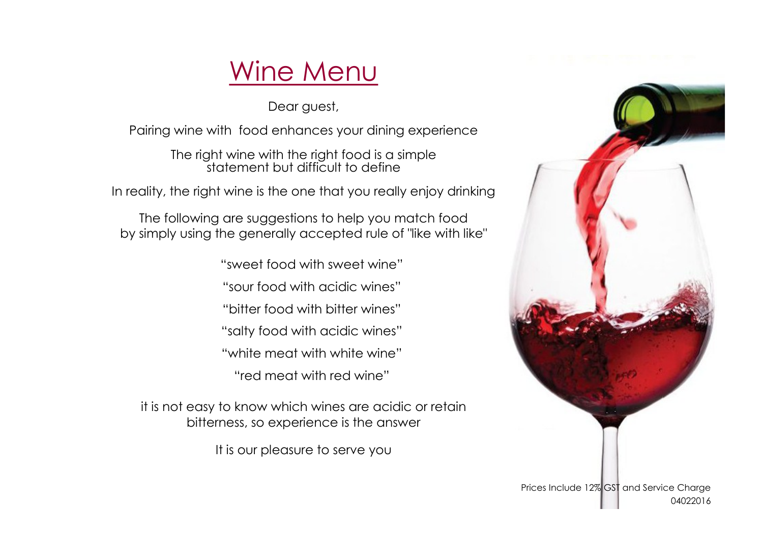# Wine Menu

Dear guest,

Pairing wine with food enhances your dining experience

The right wine with the right food is a simple statement but difficult to define

In reality, the right wine is the one that you really enjoy drinking

The following are suggestions to help you match food by simply using the generally accepted rule of "like with like"

"sweet food with sweet wine"

"sour food with acidic wines"

"bitter food with bitter wines"

"salty food with acidic wines"

"white meat with white wine"

"red meat with red wine"

it is not easy to know which wines are acidic or retain bitterness, so experience is the answer

It is our pleasure to serve you

Prices Include 12% GST and Service Charge

04022016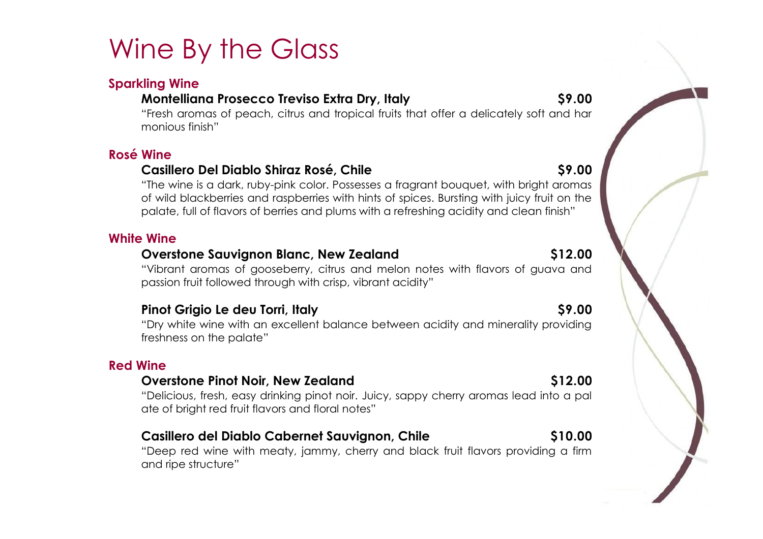# Wine By the Glass

# **Sparkling Wine**

# **Montelliana Prosecco Treviso Extra Dry, Italy \$9.00**

"Fresh aromas of peach, citrus and tropical fruits that offer a delicately soft and har monious finish"

# **Rosé Wine**

# **Casillero Del Diablo Shiraz Rosé, Chile \$9.00**

"The wine is a dark, ruby-pink color. Possesses a fragrant bouquet, with bright aromas of wild blackberries and raspberries with hints of spices. Bursting with juicy fruit on the palate, full of flavors of berries and plums with a refreshing acidity and clean finish"

# **White Wine**

# **Overstone Sauvignon Blanc, New Zealand \$12.00**

## "Vibrant aromas of gooseberry, citrus and melon notes with flavors of guava and passion fruit followed through with crisp, vibrant acidity"

# **Pinot Grigio Le deu Torri, Italy \$9.00**

"Dry white wine with an excellent balance between acidity and minerality providing freshness on the palate"

## **Red Wine**

# **Overstone Pinot Noir, New Zealand \$12.00**

"Delicious, fresh, easy drinking pinot noir. Juicy, sappy cherry aromas lead into a pal ate of bright red fruit flavors and floral notes"

# **Casillero del Diablo Cabernet Sauvignon, Chile \$10.00**

### "Deep red wine with meaty, jammy, cherry and black fruit flavors providing a firm and ripe structure"

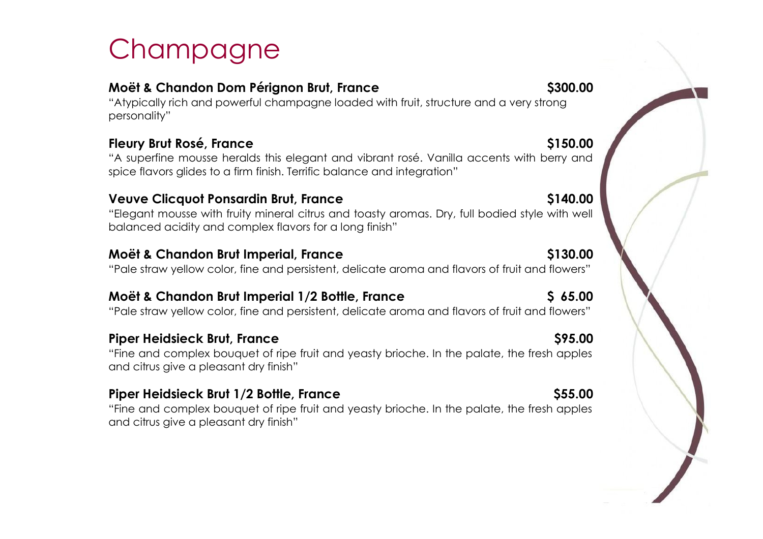# **Champagne**

# **Moët & Chandon Dom Pérignon Brut, France \$300.00**

"Atypically rich and powerful champagne loaded with fruit, structure and a very strong personality"

# **Fleury Brut Rosé, France \$150.00**

"A superfine mousse heralds this elegant and vibrant rosé. Vanilla accents with berry and spice flavors glides to a firm finish. Terrific balance and integration"

# **Veuve Clicquot Ponsardin Brut, France \$140.00**

"Elegant mousse with fruity mineral citrus and toasty aromas. Dry, full bodied style with well balanced acidity and complex flavors for a long finish"

# **Moët & Chandon Brut Imperial, France \$130.00**

"Pale straw yellow color, fine and persistent, delicate aroma and flavors of fruit and flowers"

# **Moët & Chandon Brut Imperial 1/2 Bottle, France \$ 65.00**

"Pale straw yellow color, fine and persistent, delicate aroma and flavors of fruit and flowers"

# **Piper Heidsieck Brut, France \$95.00 \$95.00 \$95.00 \$95.00 \$95.00 \$95.00 \$95.00 \$95.00 \$95.00 \$95.00 \$95.00 \$95.00 \$95.00 \$95.00 \$95.00 \$95.00 \$95.00 \$95.00 \$95.00 \$95.00 \$95.00 \$95.00 \$95.00 \$95.00 \$95.00 \$95.00 \$95.00 \$95**

"Fine and complex bouquet of ripe fruit and yeasty brioche. In the palate, the fresh apples and citrus give a pleasant dry finish"

# **Piper Heidsieck Brut 1/2 Bottle, France \$55.00**

"Fine and complex bouquet of ripe fruit and yeasty brioche. In the palate, the fresh apples and citrus give a pleasant dry finish"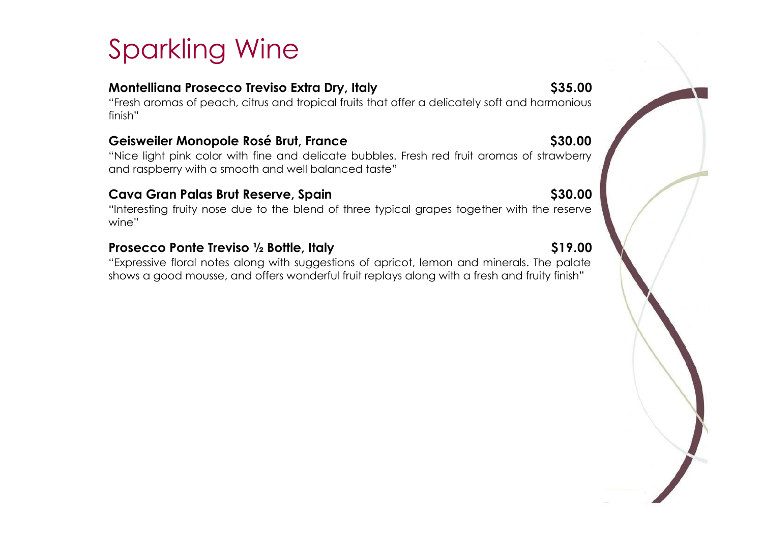# Sparkling Wine

# **Montelliana Prosecco Treviso Extra Dry, Italy \$35.00**

"Fresh aromas of peach, citrus and tropical fruits that offer a delicately soft and harmonious finish"

# **Geisweiler Monopole Rosé Brut, France \$30.00**

"Nice light pink color with fine and delicate bubbles. Fresh red fruit aromas of strawberry and raspberry with a smooth and well balanced taste"

# **Cava Gran Palas Brut Reserve, Spain \$30.00**

"Interesting fruity nose due to the blend of three typical grapes together with the reserve wine"

# Prosecco Ponte Treviso <sup>1</sup>/<sub>2</sub> Bottle, Italy **\$19.00** \$19.00

"Expressive floral notes along with suggestions of apricot, lemon and minerals. The palate shows a good mousse, and offers wonderful fruit replays along with a fresh and fruity finish"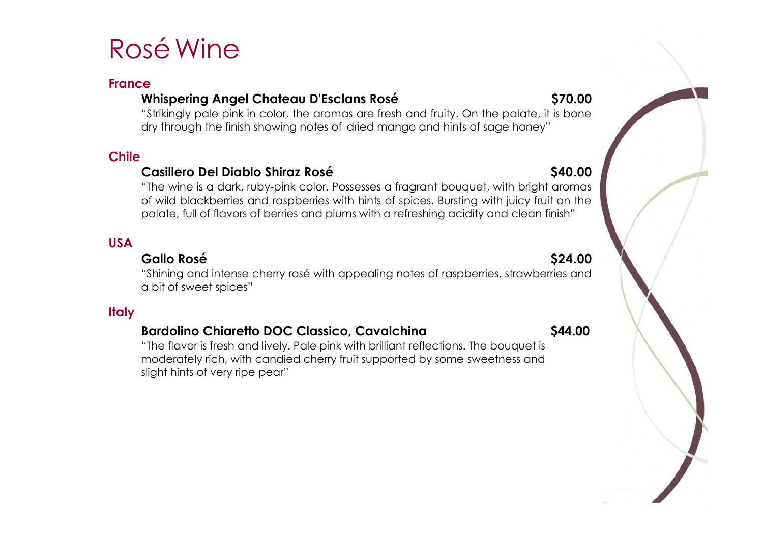# RoséWine

### **France**

# **Whispering Angel Chateau D'Esclans Rosé \$70.00**

"Strikingly pale pink in color, the aromas are fresh and fruity. On the palate, it is bone dry through the finish showing notes of dried mango and hints of sage honey"

# **Chile**

# **Casillero Del Diablo Shiraz Rosé \$40.00**

"The wine is a dark, ruby-pink color. Possesses a fragrant bouquet, with bright aromas of wild blackberries and raspberries with hints of spices. Bursting with juicy fruit on the palate, full of flavors of berries and plums with a refreshing acidity and clean finish"

# **USA**

## **Gallo Rosé \$24.00**

"Shining and intense cherry rosé with appealing notes of raspberries, strawberries and a bit of sweet spices"

### **Italy**

## **Bardolino Chiaretto DOC Classico, Cavalchina \$44.00**

"The flavor is fresh and lively. Pale pink with brilliant reflections. The bouquet is moderately rich, with candied cherry fruit supported by some sweetness and slight hints of very ripe pear"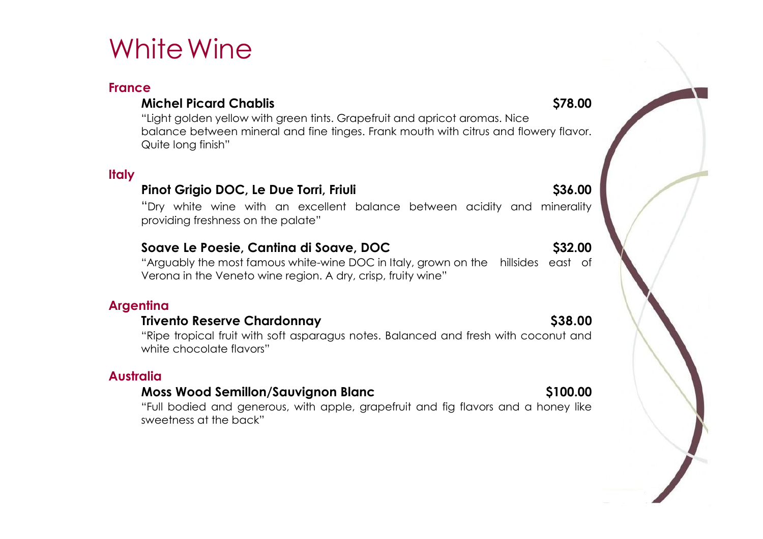# White Wine

## **France**

# **Michel Picard Chablis \$78.00**

"Light golden yellow with green tints. Grapefruit and apricot aromas. Nice balance between mineral and fine tinges. Frank mouth with citrus and flowery flavor. Quite long finish"

### **Italy**

## **Pinot Grigio DOC, Le Due Torri, Friuli \$36.00**

"Dry white wine with an excellent balance between acidity and minerality providing freshness on the palate"

# **Soave Le Poesie, Cantina di Soave, DOC \$32.00**

"Arguably the most famous white-wine DOC in Italy, grown on the hillsides east of Verona in the Veneto wine region. A dry, crisp, fruity wine"

### **Argentina**

### **Trivento Reserve Chardonnay 638.00**

"Ripe tropical fruit with soft asparagus notes. Balanced and fresh with coconut and white chocolate flavors"

## **Australia**

#### **[Moss Wood Semillon/Sauvignon Blanc \\$100.00](http://www.google.pt/url?sa=t&rct=j&q=Foucher+Lebrun+Pouilly-Fume+&source=web&cd=8&ved=0CGEQFjAH&url=http%3A%2F%2Fwww.cellartracker.com%2Fwine.asp%3FiWine%3D1395623&ei=jg-WUa6zL8umrQfV_oH4Dg&usg=AFQjCNEaztC7XGyqTUQkYJFCqZXGkaeEGA&cad=rja)**

"Full bodied and generous, with apple, grapefruit and fig flavors and a honey like sweetness at the back"

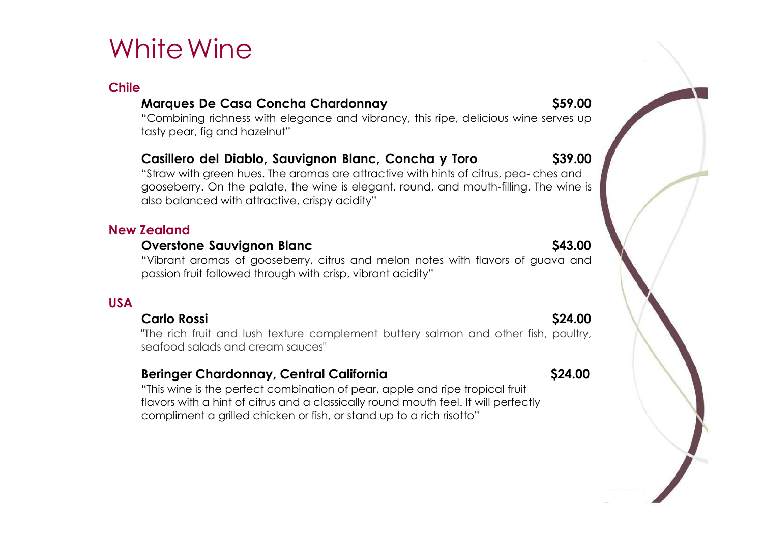# White Wine

### **Chile**

## **Marques De Casa Concha Chardonnay \$59.00**

"Combining richness with elegance and vibrancy, this ripe, delicious wine serves up tasty pear, fig and hazelnut"

# **Casillero del Diablo, Sauvignon Blanc, Concha y Toro \$39.00**

"Straw with green hues. The aromas are attractive with hints of citrus, pea- ches and gooseberry. On the palate, the wine is elegant, round, and mouth-filling. The wine is also balanced with attractive, crispy acidity"

## **New Zealand**

### **Overstone Sauvignon Blanc 543.00 S43.00**

"Vibrant aromas of gooseberry, citrus and melon notes with flavors of guava and passion fruit followed through with crisp, vibrant acidity"

## **USA**

#### **Carlo Rossi \$24.00**

"The rich fruit and lush texture complement buttery salmon and other fish, poultry, seafood salads and cream sauces"

## **Beringer Chardonnay, Central California 624.00 S24.00**

"This wine is the perfect combination of pear, apple and ripe tropical fruit flavors with a hint of citrus and a classically round mouth feel. It will perfectly compliment a grilled chicken or fish, or stand up to a rich risotto"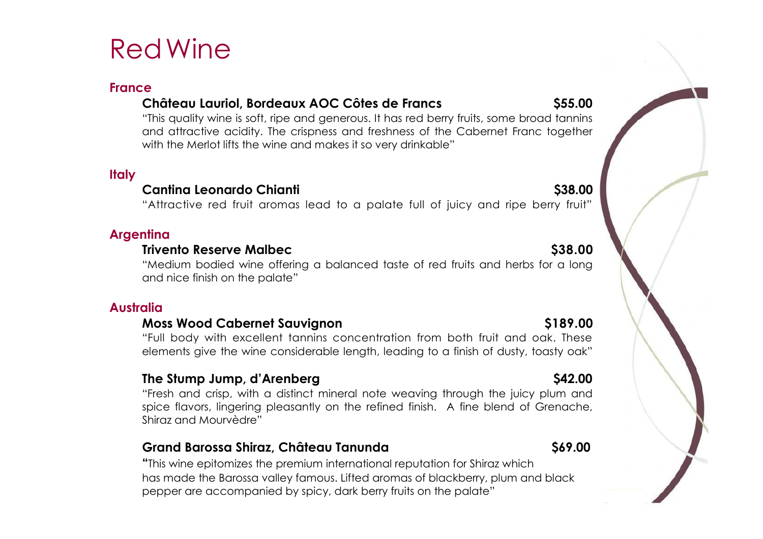# RedWine

### **France**

# **Château Lauriol, Bordeaux AOC Côtes de Francs \$55.00**

"This quality wine is soft, ripe and generous. It has red berry fruits, some broad tannins and attractive acidity. The crispness and freshness of the Cabernet Franc together with the Merlot lifts the wine and makes it so very drinkable"

#### **Italy**

#### **Cantina Leonardo Chianti \$38.00**

"Attractive red fruit aromas lead to a palate full of juicy and ripe berry fruit"

## **Argentina**

### **Trivento Reserve Malbec \$38.00**

"Medium bodied wine offering a balanced taste of red fruits and herbs for a long and nice finish on the palate"

### **Australia**

#### **Moss Wood Cabernet Sauvignon \$189.00 \$189.00**

"Full body with excellent tannins concentration from both fruit and oak. These elements give the wine considerable length, leading to a finish of dusty, toasty oak"

### **The Stump Jump, d'Arenberg \$42.00**

"Fresh and crisp, with a distinct mineral note weaving through the juicy plum and spice flavors, lingering pleasantly on the refined finish. A fine blend of Grenache, Shiraz and Mourvèdre"

## **Grand Barossa Shiraz, Château Tanunda \$69.00**

**"**This wine epitomizes the premium international reputation for Shiraz which has made the Barossa valley famous. Lifted aromas of blackberry, plum and black pepper are accompanied by spicy, dark berry fruits on the palate"